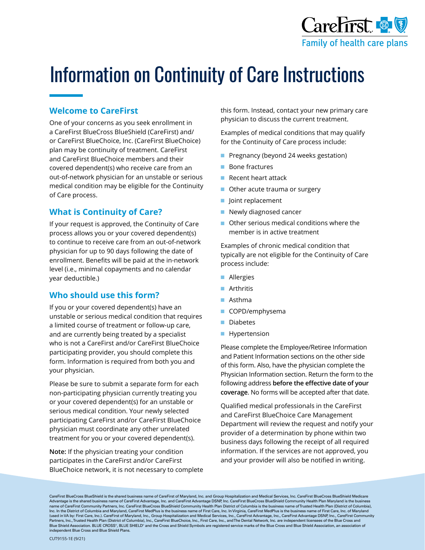

# Information on Continuity of Care Instructions

#### **Welcome to CareFirst**

One of your concerns as you seek enrollment in a CareFirst BlueCross BlueShield (CareFirst) and/ or CareFirst BlueChoice, Inc. (CareFirst BlueChoice) plan may be continuity of treatment. CareFirst and CareFirst BlueChoice members and their covered dependent(s) who receive care from an out-of-network physician for an unstable or serious medical condition may be eligible for the Continuity of Care process.

#### **What is Continuity of Care?**

If your request is approved, the Continuity of Care process allows you or your covered dependent(s) to continue to receive care from an out-of-network physician for up to 90 days following the date of enrollment. Benefits will be paid at the in-network level (i.e., minimal copayments and no calendar year deductible.)

### **Who should use this form?**

If you or your covered dependent(s) have an unstable or serious medical condition that requires a limited course of treatment or follow-up care, and are currently being treated by a specialist who is not a CareFirst and/or CareFirst BlueChoice participating provider, you should complete this form. Information is required from both you and your physician.

Please be sure to submit a separate form for each non-participating physician currently treating you or your covered dependent(s) for an unstable or serious medical condition. Your newly selected participating CareFirst and/or CareFirst BlueChoice physician must coordinate any other unrelated treatment for you or your covered dependent(s).

**Note:** If the physician treating your condition participates in the CareFirst and/or CareFirst BlueChoice network, it is not necessary to complete this form. Instead, contact your new primary care physician to discuss the current treatment.

Examples of medical conditions that may qualify for the Continuity of Care process include:

- Pregnancy (beyond 24 weeks gestation)
- Bone fractures
- Recent heart attack
- Other acute trauma or surgery
- Joint replacement
- Newly diagnosed cancer
- Other serious medical conditions where the member is in active treatment

Examples of chronic medical condition that typically are not eligible for the Continuity of Care process include:

- Allergies
- Arthritis
- Asthma
- COPD/emphysema
- Diabetes
- Hypertension

Please complete the Employee/Retiree Information and Patient Information sections on the other side of this form. Also, have the physician complete the Physician Information section. Return the form to the following address **before the effective date of your coverage**. No forms will be accepted after that date.

Qualified medical professionals in the CareFirst and CareFirst BlueChoice Care Management Department will review the request and notify your provider of a determination by phone within two business days following the receipt of all required information. If the services are not approved, you and your provider will also be notified in writing.

CareFirst BlueCross BlueShield is the shared business name of CareFirst of Maryland, Inc. and Group Hospitalization and Medical Services, Inc. CareFirst BlueCross BlueShield Medicare Advantage is the shared business name of CareFirst Advantage, Inc. and CareFirst Advantage DSNP, Inc. CareFirst BlueCross BlueShield Community Health Plan Maryland is the business<br>name of CareFirst Community Partners, Inc. Inc. In the District of Columbia and Maryland, CareFirst MedPlus is the business name of First Care, Inc. In Virginia, CareFirst MedPlus is the business name of First Care, Inc. of Maryland (used in VA by: First Care, Inc.). CareFirst of Maryland, Inc., Group Hospitalization and Medical Services, Inc., CareFirst Advantage, Inc., CareFirst Advantage DSNP, Inc., CareFirst Community Partners, Inc., Trusted Health Plan (District of Columbia), Inc., CareFirst BlueChoice, Inc., First Care, Inc., and The Dental Network, Inc. are independent licensees of the Blue Cross and Blue Shield Association. BLUE CROSS®, BLUE SHIELD® and the Cross and Shield Symbols are registered service marks of the Blue Cross and Blue Shield Association, an association of independent Blue Cross and Blue Shield Plans.